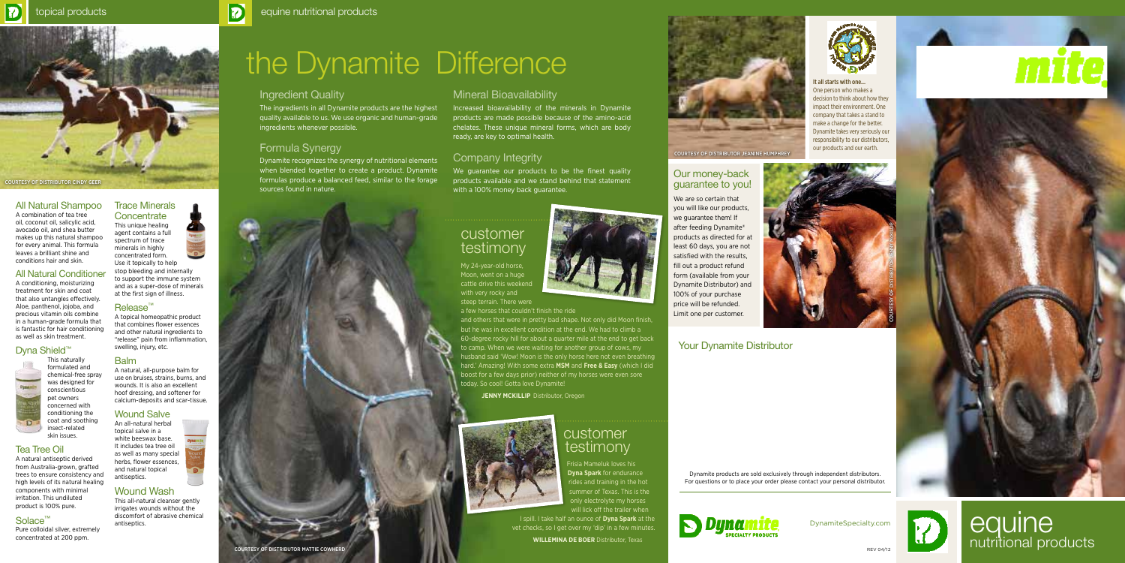#### Our money-back guarantee to you!

We are so certain that you will like our products, we guarantee them! If after feeding Dynamite® products as directed for at least 60 days, you are not satisfied with the results, fill out a product refund form (available from your Dynamite Distributor) and 100% of your purchase price will be refunded. Limit one per customer.

DynamiteSpecialty.com



**equine**  $R_{\text{EVO4/12}}$  as nutritional products

### Your Dynamite Distributor

Dynamite products are sold exclusively through independent distributors. For questions or to place your order please contact your personal distributor.







It all starts with one... One person who makes a decision to think about how they impact their environment. One company that takes a stand to make a change for the better. Dynamite takes very seriously our responsibility to our distributors, our products and our earth.



# the Dynamite Difference



# customer testimony

My 24-year-old horse, Moon, went on a huge cattle drive this weekend with very rocky and steep terrain. There were

a few horses that couldn't finish the ride

We guarantee our products to be the finest quality products available and we stand behind that statement with a 100% money back guarantee.

> Frisia Mameluk loves his **Dyna Spark** for endurance rides and training in the hot summer of Texas. This is the only electrolyte my horses will lick off the trailer when

and others that were in pretty bad shape. Not only did Moon finish, but he was in excellent condition at the end. We had to climb a 60-degree rocky hill for about a quarter mile at the end to get back to camp. When we were waiting for another group of cows, my husband said 'Wow! Moon is the only horse here not even breathing hard.' Amazing! With some extra **MSM** and **Free & Easy** (which I did boost for a few days prior) neither of my horses were even sore today. So cool! Gotta love Dynamite!

**JENNY MCKILLIP** Distributor, Oregon



courtesy of Distributor MATTIE COWHERD





Ð





### Ingredient Quality

The ingredients in all Dynamite products are the highest quality available to us. We use organic and human-grade ingredients whenever possible.

#### Trace Minerals **Concentrate**

## Formula Synergy

Dynamite recognizes the synergy of nutritional elements when blended together to create a product. Dynamite formulas produce a balanced feed, similar to the forage sources found in nature.

# Mineral Bioavailability

Increased bioavailability of the minerals in Dynamite products are made possible because of the amino-acid chelates. These unique mineral forms, which are body ready, are key to optimal health.

# Company Integrity

# customer testimony

I spill. I take half an ounce of **Dyna Spark** at the vet checks, so I get over my 'dip' in a few minutes.

**Willemina De Boer** Distributor, Texas



### All Natural Shampoo

A combination of tea tree oil, coconut oil, salicylic acid, avocado oil, and shea butter makes up this natural shampoo for every animal. This formula leaves a brilliant shine and conditions hair and skin.

#### All Natural Conditioner

A conditioning, moisturizing treatment for skin and coat that also untangles effectively. Aloe, panthenol, jojoba, and precious vitamin oils combine in a human-grade formula that is fantastic for hair conditioning as well as skin treatment.

### Dyna Shield<sup>™</sup>



coat and soothing

#### Tea Tree Oil

A natural antiseptic derived from Australia-grown, grafted trees to ensure consistency and high levels of its natural healing components with minimal irritation. This undiluted product is 100% pure.

# Solace™

Pure colloidal silver, extremely concentrated at 200 ppm.

This unique healing agent contains a full spectrum of trace minerals in highly concentrated form. Use it topically to help stop bleeding and internally to support the immune system and as a super-dose of minerals at the first sign of illness.

#### Release™

A topical homeopathic product that combines flower essences and other natural ingredients to "release" pain from inflammation, swelling, injury, etc.

#### **Balm**

A natural, all-purpose balm for use on bruises, strains, burns, and wounds. It is also an excellent hoof dressing, and softener for calcium-deposits and scar-tissue.

#### Wound Salve

An all-natural herbal topical salve in a white beeswax base. It includes tea tree oil as well as many special herbs, flower essences, and natural topical antiseptics.

#### Wound Wash

This all-natural cleanser gently irrigates wounds without the discomfort of abrasive chemical antiseptics.